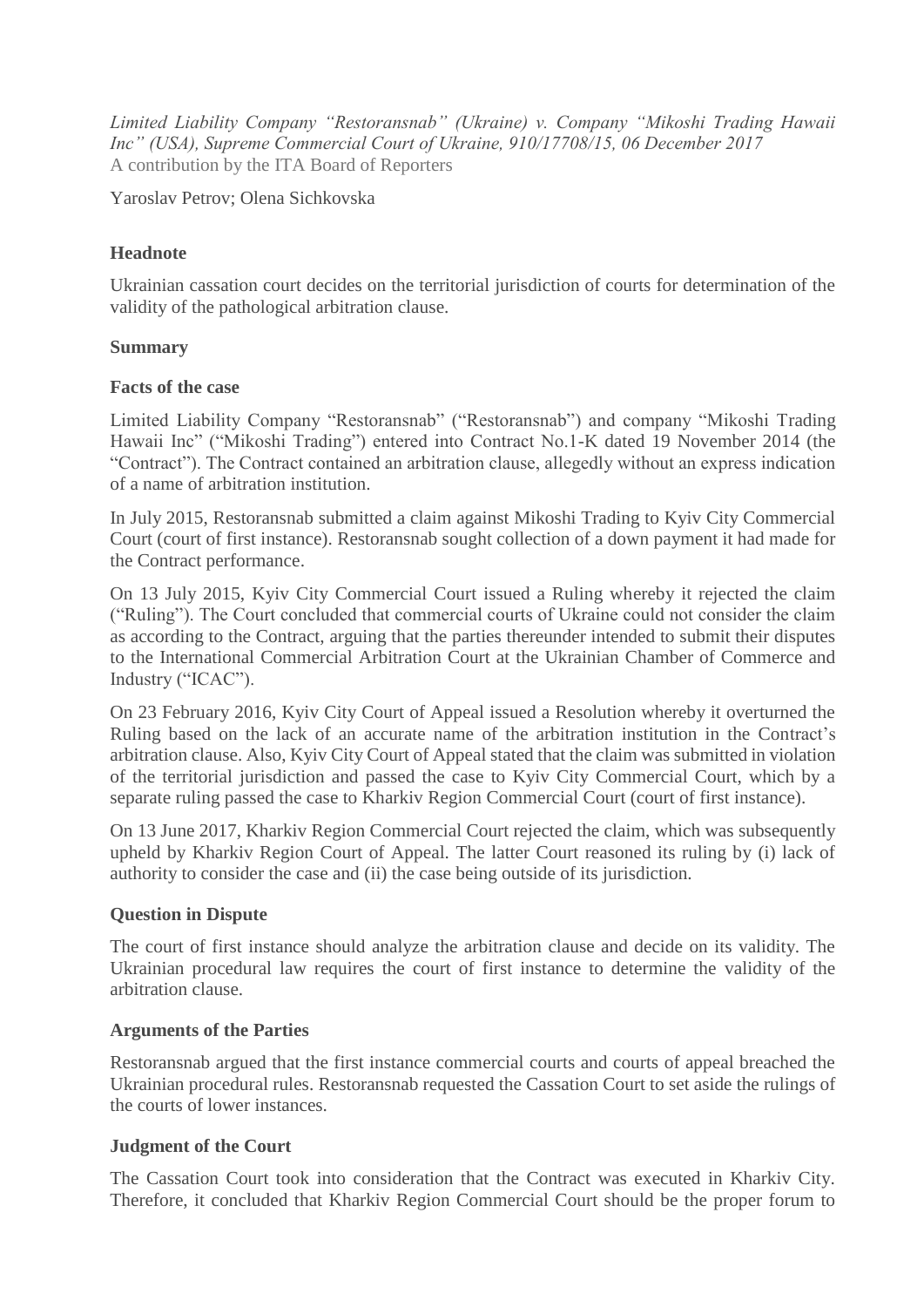*Limited Liability Company "Restoransnab" (Ukraine) v. Company "Mikoshi Trading Hawaii Inc" (USA), Supreme Commercial Court of Ukraine, 910/17708/15, 06 December 2017* A contribution by the ITA Board of Reporters

Yaroslav Petrov; Olena Sichkovska

# **Headnote**

Ukrainian cassation court decides on the territorial jurisdiction of courts for determination of the validity of the pathological arbitration clause.

## **Summary**

#### **Facts of the case**

Limited Liability Company "Restoransnab" ("Restoransnab") and company "Mikoshi Trading Hawaii Inc" ("Mikoshi Trading") entered into Contract No.1-K dated 19 November 2014 (the "Contract"). The Contract contained an arbitration clause, allegedly without an express indication of a name of arbitration institution.

In July 2015, Restoransnab submitted a claim against Mikoshi Trading to Kyiv City Commercial Court (court of first instance). Restoransnab sought collection of a down payment it had made for the Contract performance.

On 13 July 2015, Kyiv City Commercial Court issued a Ruling whereby it rejected the claim ("Ruling"). The Court concluded that commercial courts of Ukraine could not consider the claim as according to the Contract, arguing that the parties thereunder intended to submit their disputes to the International Commercial Arbitration Court at the Ukrainian Chamber of Commerce and Industry ("ICAC").

On 23 February 2016, Kyiv City Court of Appeal issued a Resolution whereby it overturned the Ruling based on the lack of an accurate name of the arbitration institution in the Contract's arbitration clause. Also, Kyiv City Court of Appeal stated that the claim was submitted in violation of the territorial jurisdiction and passed the case to Kyiv City Commercial Court, which by a separate ruling passed the case to Kharkiv Region Commercial Court (court of first instance).

On 13 June 2017, Kharkiv Region Commercial Court rejected the claim, which was subsequently upheld by Kharkiv Region Court of Appeal. The latter Court reasoned its ruling by (i) lack of authority to consider the case and (ii) the case being outside of its jurisdiction.

## **Question in Dispute**

The court of first instance should analyze the arbitration clause and decide on its validity. The Ukrainian procedural law requires the court of first instance to determine the validity of the arbitration clause.

## **Arguments of the Parties**

Restoransnab argued that the first instance commercial courts and courts of appeal breached the Ukrainian procedural rules. Restoransnab requested the Cassation Court to set aside the rulings of the courts of lower instances.

#### **Judgment of the Court**

The Cassation Court took into consideration that the Contract was executed in Kharkiv City. Therefore, it concluded that Kharkiv Region Commercial Court should be the proper forum to